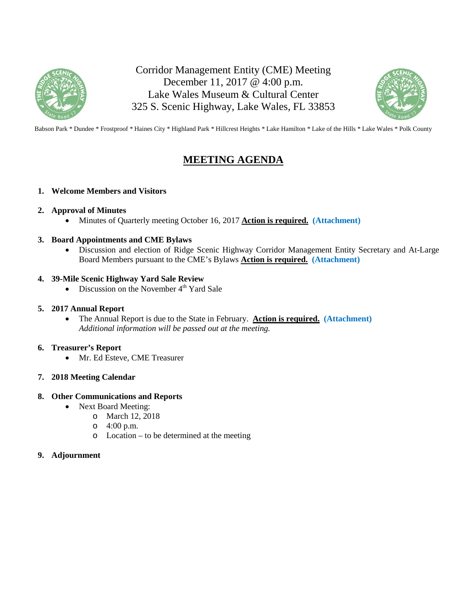

Corridor Management Entity (CME) Meeting December 11, 2017 @ 4:00 p.m. Lake Wales Museum & Cultural Center 325 S. Scenic Highway, Lake Wales, FL 33853



Babson Park \* Dundee \* Frostproof \* Haines City \* Highland Park \* Hillcrest Heights \* Lake Hamilton \* Lake of the Hills \* Lake Wales \* Polk County

# **MEETING AGENDA**

### **1. Welcome Members and Visitors**

### **2. Approval of Minutes**

Minutes of Quarterly meeting October 16, 2017 **Action is required. (Attachment)**

### **3. Board Appointments and CME Bylaws**

 Discussion and election of Ridge Scenic Highway Corridor Management Entity Secretary and At-Large Board Members pursuant to the CME's Bylaws **Action is required. (Attachment)**

### **4. 39-Mile Scenic Highway Yard Sale Review**

• Discussion on the November  $4<sup>th</sup>$  Yard Sale

### **5. 2017 Annual Report**

 The Annual Report is due to the State in February. **Action is required. (Attachment)** *Additional information will be passed out at the meeting.* 

### **6. Treasurer's Report**

Mr. Ed Esteve, CME Treasurer

### **7. 2018 Meeting Calendar**

### **8. Other Communications and Reports**

- Next Board Meeting:
	- o March 12, 2018
	- o 4:00 p.m.
	- o Location to be determined at the meeting

### **9. Adjournment**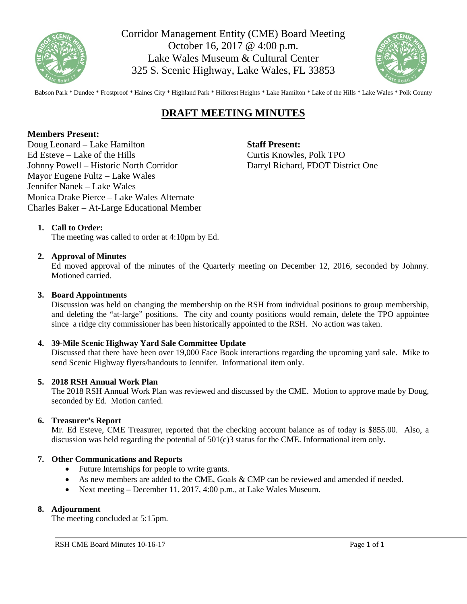

Corridor Management Entity (CME) Board Meeting October 16, 2017 @ 4:00 p.m. Lake Wales Museum & Cultural Center 325 S. Scenic Highway, Lake Wales, FL 33853



Babson Park \* Dundee \* Frostproof \* Haines City \* Highland Park \* Hillcrest Heights \* Lake Hamilton \* Lake of the Hills \* Lake Wales \* Polk County

# **DRAFT MEETING MINUTES**

### **Members Present:**

Doug Leonard – Lake Hamilton Ed Esteve – Lake of the Hills Johnny Powell – Historic North Corridor Mayor Eugene Fultz – Lake Wales Jennifer Nanek – Lake Wales Monica Drake Pierce – Lake Wales Alternate Charles Baker – At-Large Educational Member

**Staff Present:**  Curtis Knowles, Polk TPO Darryl Richard, FDOT District One

### **1. Call to Order:**

The meeting was called to order at 4:10pm by Ed.

### **2. Approval of Minutes**

Ed moved approval of the minutes of the Quarterly meeting on December 12, 2016, seconded by Johnny. Motioned carried.

### **3. Board Appointments**

Discussion was held on changing the membership on the RSH from individual positions to group membership, and deleting the "at-large" positions. The city and county positions would remain, delete the TPO appointee since a ridge city commissioner has been historically appointed to the RSH. No action was taken.

### **4. 39-Mile Scenic Highway Yard Sale Committee Update**

Discussed that there have been over 19,000 Face Book interactions regarding the upcoming yard sale. Mike to send Scenic Highway flyers/handouts to Jennifer. Informational item only.

### **5. 2018 RSH Annual Work Plan**

The 2018 RSH Annual Work Plan was reviewed and discussed by the CME. Motion to approve made by Doug, seconded by Ed. Motion carried.

### **6. Treasurer's Report**

Mr. Ed Esteve, CME Treasurer, reported that the checking account balance as of today is \$855.00. Also, a discussion was held regarding the potential of  $501(c)3$  status for the CME. Informational item only.

### **7. Other Communications and Reports**

- Future Internships for people to write grants.
- As new members are added to the CME, Goals & CMP can be reviewed and amended if needed.
- Next meeting December 11, 2017, 4:00 p.m., at Lake Wales Museum.

### **8. Adjournment**

The meeting concluded at 5:15pm.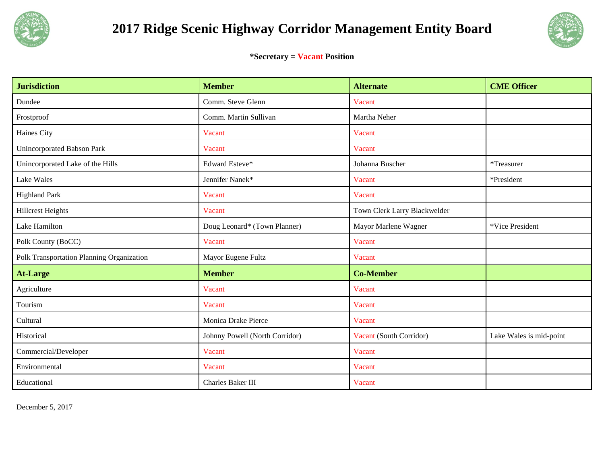



**\*Secretary = Vacant Position** 

| <b>Jurisdiction</b>                       | <b>Member</b>                  | <b>Alternate</b>             | <b>CME Officer</b>      |
|-------------------------------------------|--------------------------------|------------------------------|-------------------------|
| Dundee                                    | Comm. Steve Glenn              | Vacant                       |                         |
| Frostproof                                | Comm. Martin Sullivan          | Martha Neher                 |                         |
| Haines City                               | Vacant                         | Vacant                       |                         |
| Unincorporated Babson Park                | Vacant                         | Vacant                       |                         |
| Unincorporated Lake of the Hills          | Edward Esteve*                 | Johanna Buscher              | *Treasurer              |
| Lake Wales                                | Jennifer Nanek*                | Vacant                       | *President              |
| <b>Highland Park</b>                      | Vacant                         | Vacant                       |                         |
| <b>Hillcrest Heights</b>                  | Vacant                         | Town Clerk Larry Blackwelder |                         |
| Lake Hamilton                             | Doug Leonard* (Town Planner)   | Mayor Marlene Wagner         | *Vice President         |
| Polk County (BoCC)                        | Vacant                         | Vacant                       |                         |
| Polk Transportation Planning Organization | Mayor Eugene Fultz             | Vacant                       |                         |
| <b>At-Large</b>                           | <b>Member</b>                  | <b>Co-Member</b>             |                         |
| Agriculture                               | Vacant                         | Vacant                       |                         |
| Tourism                                   | Vacant                         | Vacant                       |                         |
| Cultural                                  | Monica Drake Pierce            | Vacant                       |                         |
| Historical                                | Johnny Powell (North Corridor) | Vacant (South Corridor)      | Lake Wales is mid-point |
| Commercial/Developer                      | Vacant                         | Vacant                       |                         |
| Environmental                             | Vacant                         | Vacant                       |                         |
| Educational                               | Charles Baker III              | Vacant                       |                         |

December 5, 2017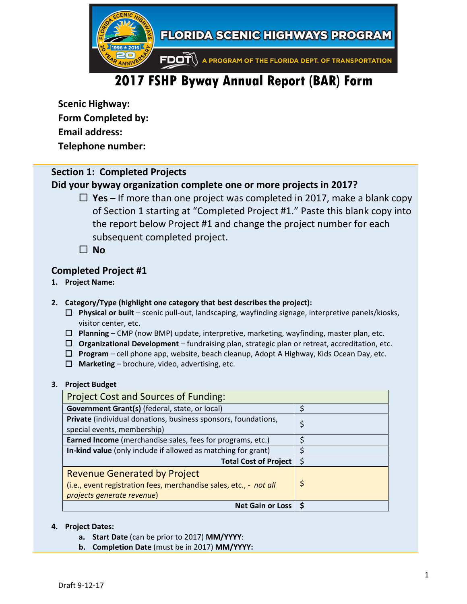

# **2017 FSHP Byway Annual Report (BAR) Form**

**Scenic Highway: Form Completed by:**

**Email address:**

**Telephone number:**

### **Section 1: Completed Projects**

# **Did your byway organization complete one or more projects in 2017?**

- **Yes –** If more than one project was completed in 2017, make a blank copy of Section 1 starting at "Completed Project #1." Paste this blank copy into the report below Project #1 and change the project number for each subsequent completed project.
- $\Box$  No

### **Completed Project #1**

- **1. Project Name:**
- **2. Category/Type (highlight one category that best describes the project):** 
	- **Physical or built** scenic pull‐out, landscaping, wayfinding signage, interpretive panels/kiosks, visitor center, etc.
	- **Planning** CMP (now BMP) update, interpretive, marketing, wayfinding, master plan, etc.
	- **Organizational Development** fundraising plan, strategic plan or retreat, accreditation, etc.
	- **Program** cell phone app, website, beach cleanup, Adopt A Highway, Kids Ocean Day, etc.
	- $\Box$  **Marketing** brochure, video, advertising, etc.

### **3. Project Budget**

| <b>Project Cost and Sources of Funding:</b>                        |    |  |
|--------------------------------------------------------------------|----|--|
| Government Grant(s) (federal, state, or local)                     | Ś  |  |
| Private (individual donations, business sponsors, foundations,     | \$ |  |
| special events, membership)                                        |    |  |
| Earned Income (merchandise sales, fees for programs, etc.)         |    |  |
| In-kind value (only include if allowed as matching for grant)      |    |  |
| <b>Total Cost of Project</b>                                       |    |  |
| <b>Revenue Generated by Project</b>                                |    |  |
| (i.e., event registration fees, merchandise sales, etc., - not all | \$ |  |
| projects generate revenue)                                         |    |  |
| <b>Net Gain or Loss</b>                                            |    |  |

### **4. Project Dates:**

- **a. Start Date** (can be prior to 2017) **MM/YYYY**:
- **b. Completion Date** (must be in 2017) **MM/YYYY:**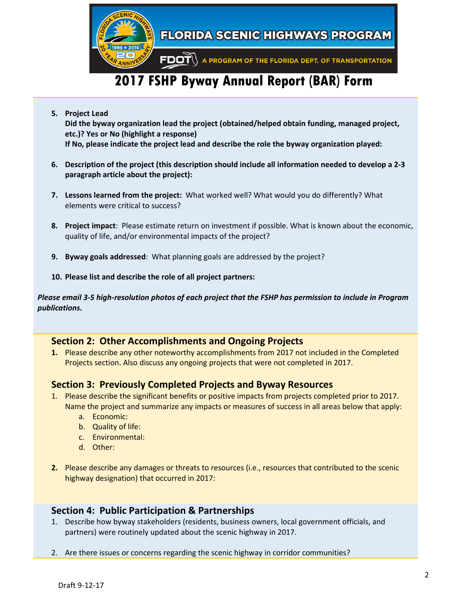

# **2017 FSHP Byway Annual Report (BAR) Form**

- **5. Project Lead Did the byway organization lead the project (obtained/helped obtain funding, managed project, etc.)? Yes or No (highlight a response) If No, please indicate the project lead and describe the role the byway organization played:**
- 6. Description of the project (this description should include all information needed to develop a 2-3 **paragraph article about the project):**
- **7. Lessons learned from the project:** What worked well? What would you do differently? What elements were critical to success?
- **8. Project impact**: Please estimate return on investment if possible. What is known about the economic, quality of life, and/or environmental impacts of the project?
- **9. Byway goals addressed**: What planning goals are addressed by the project?
- **10. Please list and describe the role of all project partners:**

Please email 3-5 high-resolution photos of each project that the FSHP has permission to include in Program *publications.*

### **Section 2: Other Accomplishments and Ongoing Projects**

**1.** Please describe any other noteworthy accomplishments from 2017 not included in the Completed Projects section. Also discuss any ongoing projects that were not completed in 2017.

### **Section 3: Previously Completed Projects and Byway Resources**

- 1. Please describe the significant benefits or positive impacts from projects completed prior to 2017. Name the project and summarize any impacts or measures of success in all areas below that apply:
	- a. Economic:
	- b. Quality of life:
	- c. Environmental:
	- d. Other:
- **2.** Please describe any damages or threats to resources (i.e., resources that contributed to the scenic highway designation) that occurred in 2017:

### **Section 4: Public Participation & Partnerships**

- 1. Describe how byway stakeholders (residents, business owners, local government officials, and partners) were routinely updated about the scenic highway in 2017.
- 2. Are there issues or concerns regarding the scenic highway in corridor communities?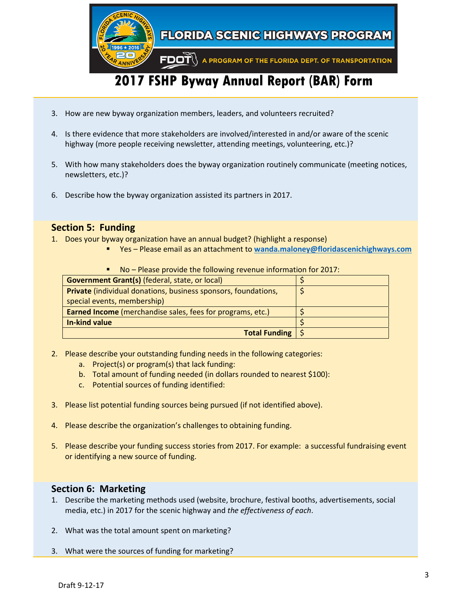

- 
- 3. How are new byway organization members, leaders, and volunteers recruited?
- 4. Is there evidence that more stakeholders are involved/interested in and/or aware of the scenic highway (more people receiving newsletter, attending meetings, volunteering, etc.)?
- 5. With how many stakeholders does the byway organization routinely communicate (meeting notices, newsletters, etc.)?
- 6. Describe how the byway organization assisted its partners in 2017.

# **Section 5: Funding**

- 1. Does your byway organization have an annual budget? (highlight a response)
	- Yes Please email as an attachment to **wanda.maloney@floridascenichighways.com**

| <u>NO – Piease provide the following revenue imprimation for 2017.</u> |  |  |
|------------------------------------------------------------------------|--|--|
| <b>Government Grant(s)</b> (federal, state, or local)                  |  |  |
| <b>Private</b> (individual donations, business sponsors, foundations,  |  |  |
| special events, membership)                                            |  |  |
| <b>Earned Income</b> (merchandise sales, fees for programs, etc.)      |  |  |
| In-kind value                                                          |  |  |
| <b>Total Funding</b>                                                   |  |  |

No – Please provide the following revenue information for 2017:

- 2. Please describe your outstanding funding needs in the following categories:
	- a. Project(s) or program(s) that lack funding:
	- b. Total amount of funding needed (in dollars rounded to nearest \$100):
	- c. Potential sources of funding identified:
- 3. Please list potential funding sources being pursued (if not identified above).
- 4. Please describe the organization's challenges to obtaining funding.
- 5. Please describe your funding success stories from 2017. For example: a successful fundraising event or identifying a new source of funding.

# **Section 6: Marketing**

- 1. Describe the marketing methods used (website, brochure, festival booths, advertisements, social media, etc.) in 2017 for the scenic highway and *the effectiveness of each*.
- 2. What was the total amount spent on marketing?
- 3. What were the sources of funding for marketing?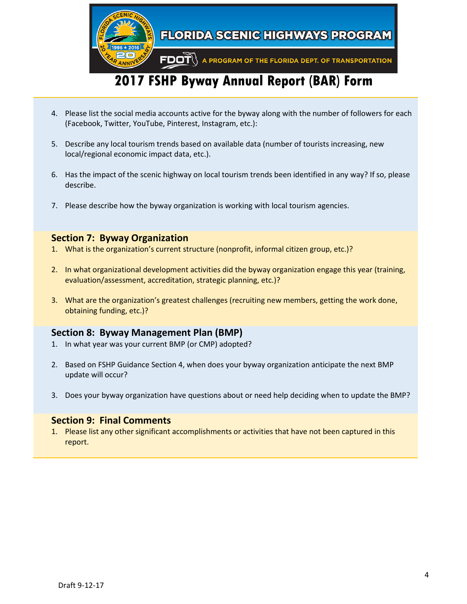

- 4. Please list the social media accounts active for the byway along with the number of followers for each (Facebook, Twitter, YouTube, Pinterest, Instagram, etc.):
- 5. Describe any local tourism trends based on available data (number of tourists increasing, new local/regional economic impact data, etc.).
- 6. Has the impact of the scenic highway on local tourism trends been identified in any way? If so, please describe.
- 7. Please describe how the byway organization is working with local tourism agencies.

### **Section 7: Byway Organization**

- 1. What is the organization's current structure (nonprofit, informal citizen group, etc.)?
- 2. In what organizational development activities did the byway organization engage this year (training, evaluation/assessment, accreditation, strategic planning, etc.)?
- 3. What are the organization's greatest challenges (recruiting new members, getting the work done, obtaining funding, etc.)?

### **Section 8: Byway Management Plan (BMP)**

- 1. In what year was your current BMP (or CMP) adopted?
- 2. Based on FSHP Guidance Section 4, when does your byway organization anticipate the next BMP update will occur?
- 3. Does your byway organization have questions about or need help deciding when to update the BMP?

### **Section 9: Final Comments**

1. Please list any other significant accomplishments or activities that have not been captured in this report.